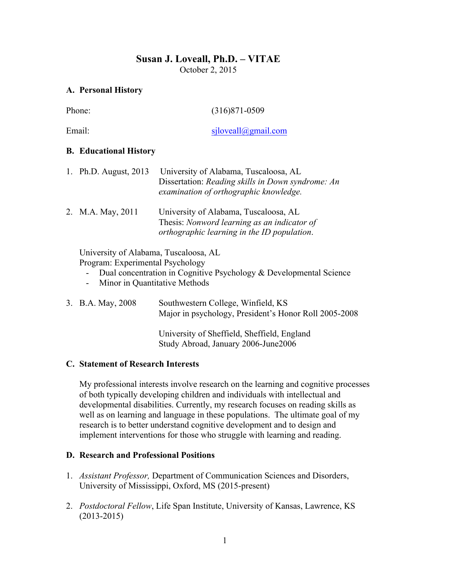# **Susan J. Loveall, Ph.D. – VITAE** October 2, 2015

## **A. Personal History**

| Phone: |                                                                                                                                                                                                                  | $(316)871 - 0509$                                                                                                                    |
|--------|------------------------------------------------------------------------------------------------------------------------------------------------------------------------------------------------------------------|--------------------------------------------------------------------------------------------------------------------------------------|
| Email: |                                                                                                                                                                                                                  | siloveall@gmail.com                                                                                                                  |
|        | <b>B.</b> Educational History                                                                                                                                                                                    |                                                                                                                                      |
| 1.     | Ph.D. August, $2013$                                                                                                                                                                                             | University of Alabama, Tuscaloosa, AL<br>Dissertation: Reading skills in Down syndrome: An<br>examination of orthographic knowledge. |
|        | 2. M.A. May, 2011                                                                                                                                                                                                | University of Alabama, Tuscaloosa, AL<br>Thesis: Nonword learning as an indicator of<br>orthographic learning in the ID population.  |
|        | University of Alabama, Tuscaloosa, AL<br>Program: Experimental Psychology<br>Dual concentration in Cognitive Psychology & Developmental Science<br>Minor in Quantitative Methods<br>$\qquad \qquad \blacksquare$ |                                                                                                                                      |
| 3.     | B.A. May, 2008                                                                                                                                                                                                   | Southwestern College, Winfield, KS<br>Major in psychology, President's Honor Roll 2005-2008                                          |
|        |                                                                                                                                                                                                                  | University of Sheffield, Sheffield, England                                                                                          |

### **C. Statement of Research Interests**

My professional interests involve research on the learning and cognitive processes of both typically developing children and individuals with intellectual and developmental disabilities. Currently, my research focuses on reading skills as well as on learning and language in these populations. The ultimate goal of my research is to better understand cognitive development and to design and implement interventions for those who struggle with learning and reading.

Study Abroad, January 2006-June2006

### **D. Research and Professional Positions**

- 1. *Assistant Professor,* Department of Communication Sciences and Disorders, University of Mississippi, Oxford, MS (2015-present)
- 2. *Postdoctoral Fellow*, Life Span Institute, University of Kansas, Lawrence, KS (2013-2015)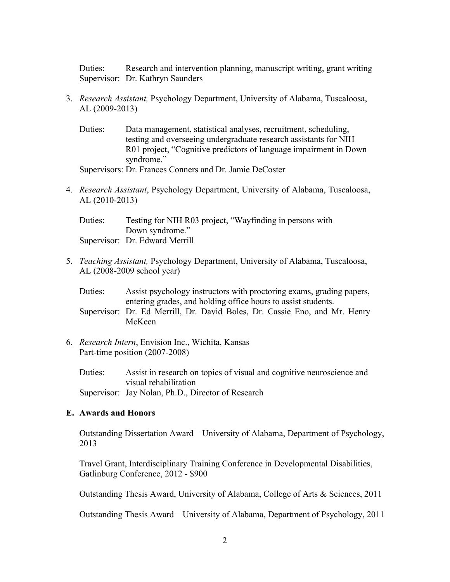Duties: Research and intervention planning, manuscript writing, grant writing Supervisor: Dr. Kathryn Saunders

- 3. *Research Assistant,* Psychology Department, University of Alabama, Tuscaloosa, AL (2009-2013)
	- Duties: Data management, statistical analyses, recruitment, scheduling, testing and overseeing undergraduate research assistants for NIH R01 project, "Cognitive predictors of language impairment in Down syndrome."

Supervisors: Dr. Frances Conners and Dr. Jamie DeCoster

4. *Research Assistant*, Psychology Department, University of Alabama, Tuscaloosa, AL (2010-2013)

Duties: Testing for NIH R03 project, "Wayfinding in persons with Down syndrome." Supervisor: Dr. Edward Merrill

- 5. *Teaching Assistant,* Psychology Department, University of Alabama, Tuscaloosa, AL (2008-2009 school year)
	- Duties: Assist psychology instructors with proctoring exams, grading papers, entering grades, and holding office hours to assist students.

Supervisor: Dr. Ed Merrill, Dr. David Boles, Dr. Cassie Eno, and Mr. Henry McKeen

6. *Research Intern*, Envision Inc., Wichita, Kansas Part-time position (2007-2008)

Duties: Assist in research on topics of visual and cognitive neuroscience and visual rehabilitation Supervisor: Jay Nolan, Ph.D., Director of Research

#### **E. Awards and Honors**

Outstanding Dissertation Award – University of Alabama, Department of Psychology, 2013

Travel Grant, Interdisciplinary Training Conference in Developmental Disabilities, Gatlinburg Conference, 2012 - \$900

Outstanding Thesis Award, University of Alabama, College of Arts & Sciences, 2011

Outstanding Thesis Award – University of Alabama, Department of Psychology, 2011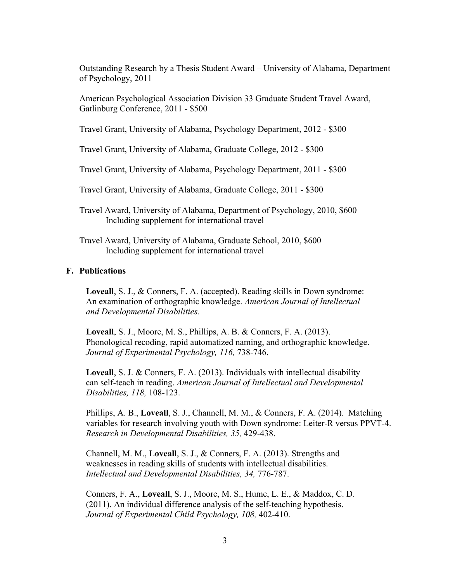Outstanding Research by a Thesis Student Award – University of Alabama, Department of Psychology, 2011

American Psychological Association Division 33 Graduate Student Travel Award, Gatlinburg Conference, 2011 - \$500

Travel Grant, University of Alabama, Psychology Department, 2012 - \$300

Travel Grant, University of Alabama, Graduate College, 2012 - \$300

Travel Grant, University of Alabama, Psychology Department, 2011 - \$300

Travel Grant, University of Alabama, Graduate College, 2011 - \$300

- Travel Award, University of Alabama, Department of Psychology, 2010, \$600 Including supplement for international travel
- Travel Award, University of Alabama, Graduate School, 2010, \$600 Including supplement for international travel

#### **F. Publications**

**Loveall**, S. J., & Conners, F. A. (accepted). Reading skills in Down syndrome: An examination of orthographic knowledge. *American Journal of Intellectual and Developmental Disabilities.*

**Loveall**, S. J., Moore, M. S., Phillips, A. B. & Conners, F. A. (2013). Phonological recoding, rapid automatized naming, and orthographic knowledge. *Journal of Experimental Psychology, 116,* 738-746.

**Loveall**, S. J. & Conners, F. A. (2013). Individuals with intellectual disability can self-teach in reading. *American Journal of Intellectual and Developmental Disabilities, 118,* 108-123.

Phillips, A. B., **Loveall**, S. J., Channell, M. M., & Conners, F. A. (2014). Matching variables for research involving youth with Down syndrome: Leiter-R versus PPVT-4. *Research in Developmental Disabilities, 35,* 429-438.

Channell, M. M., **Loveall**, S. J., & Conners, F. A. (2013). Strengths and weaknesses in reading skills of students with intellectual disabilities. *Intellectual and Developmental Disabilities, 34,* 776-787.

Conners, F. A., **Loveall**, S. J., Moore, M. S., Hume, L. E., & Maddox, C. D. (2011). An individual difference analysis of the self-teaching hypothesis. *Journal of Experimental Child Psychology, 108,* 402-410.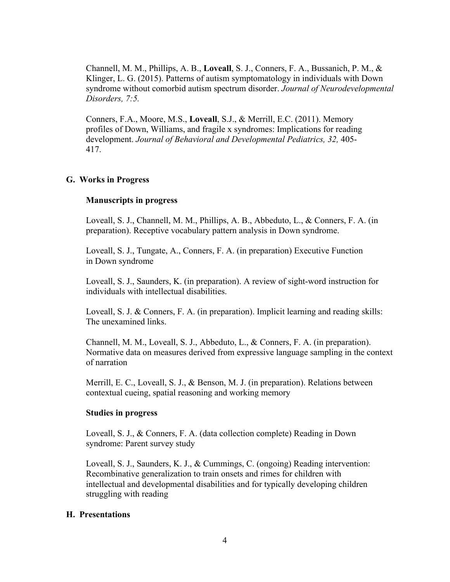Channell, M. M., Phillips, A. B., **Loveall**, S. J., Conners, F. A., Bussanich, P. M., & Klinger, L. G. (2015). Patterns of autism symptomatology in individuals with Down syndrome without comorbid autism spectrum disorder. *Journal of Neurodevelopmental Disorders, 7:5.*

Conners, F.A., Moore, M.S., **Loveall**, S.J., & Merrill, E.C. (2011). Memory profiles of Down, Williams, and fragile x syndromes: Implications for reading development. *Journal of Behavioral and Developmental Pediatrics, 32,* 405- 417.

### **G. Works in Progress**

### **Manuscripts in progress**

Loveall, S. J., Channell, M. M., Phillips, A. B., Abbeduto, L., & Conners, F. A. (in preparation). Receptive vocabulary pattern analysis in Down syndrome.

Loveall, S. J., Tungate, A., Conners, F. A. (in preparation) Executive Function in Down syndrome

Loveall, S. J., Saunders, K. (in preparation). A review of sight-word instruction for individuals with intellectual disabilities.

Loveall, S. J. & Conners, F. A. (in preparation). Implicit learning and reading skills: The unexamined links.

Channell, M. M., Loveall, S. J., Abbeduto, L., & Conners, F. A. (in preparation). Normative data on measures derived from expressive language sampling in the context of narration

Merrill, E. C., Loveall, S. J., & Benson, M. J. (in preparation). Relations between contextual cueing, spatial reasoning and working memory

#### **Studies in progress**

Loveall, S. J., & Conners, F. A. (data collection complete) Reading in Down syndrome: Parent survey study

Loveall, S. J., Saunders, K. J., & Cummings, C. (ongoing) Reading intervention: Recombinative generalization to train onsets and rimes for children with intellectual and developmental disabilities and for typically developing children struggling with reading

#### **H. Presentations**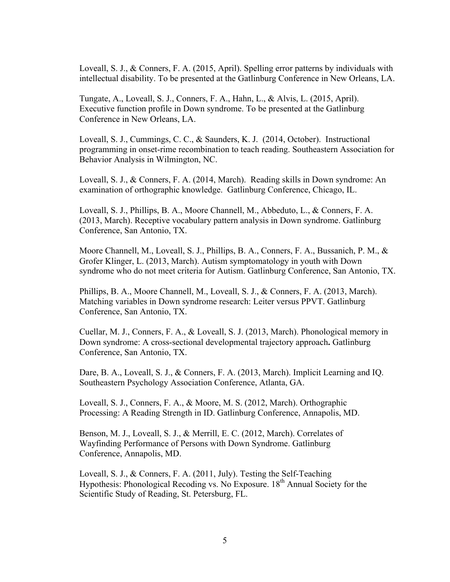Loveall, S. J., & Conners, F. A. (2015, April). Spelling error patterns by individuals with intellectual disability. To be presented at the Gatlinburg Conference in New Orleans, LA.

Tungate, A., Loveall, S. J., Conners, F. A., Hahn, L., & Alvis, L. (2015, April). Executive function profile in Down syndrome. To be presented at the Gatlinburg Conference in New Orleans, LA.

Loveall, S. J., Cummings, C. C., & Saunders, K. J. (2014, October). Instructional programming in onset-rime recombination to teach reading. Southeastern Association for Behavior Analysis in Wilmington, NC.

Loveall, S. J., & Conners, F. A. (2014, March). Reading skills in Down syndrome: An examination of orthographic knowledge. Gatlinburg Conference, Chicago, IL.

Loveall, S. J., Phillips, B. A., Moore Channell, M., Abbeduto, L., & Conners, F. A. (2013, March). Receptive vocabulary pattern analysis in Down syndrome. Gatlinburg Conference, San Antonio, TX.

Moore Channell, M., Loveall, S. J., Phillips, B. A., Conners, F. A., Bussanich, P. M., & Grofer Klinger, L. (2013, March). Autism symptomatology in youth with Down syndrome who do not meet criteria for Autism. Gatlinburg Conference, San Antonio, TX.

Phillips, B. A., Moore Channell, M., Loveall, S. J., & Conners, F. A. (2013, March). Matching variables in Down syndrome research: Leiter versus PPVT. Gatlinburg Conference, San Antonio, TX.

Cuellar, M. J., Conners, F. A., & Loveall, S. J. (2013, March). Phonological memory in Down syndrome: A cross-sectional developmental trajectory approach**.** Gatlinburg Conference, San Antonio, TX.

Dare, B. A., Loveall, S. J., & Conners, F. A. (2013, March). Implicit Learning and IQ. Southeastern Psychology Association Conference, Atlanta, GA.

Loveall, S. J., Conners, F. A., & Moore, M. S. (2012, March). Orthographic Processing: A Reading Strength in ID. Gatlinburg Conference, Annapolis, MD.

Benson, M. J., Loveall, S. J., & Merrill, E. C. (2012, March). Correlates of Wayfinding Performance of Persons with Down Syndrome. Gatlinburg Conference, Annapolis, MD.

Loveall, S. J., & Conners, F. A. (2011, July). Testing the Self-Teaching Hypothesis: Phonological Recoding vs. No Exposure. 18<sup>th</sup> Annual Society for the Scientific Study of Reading, St. Petersburg, FL.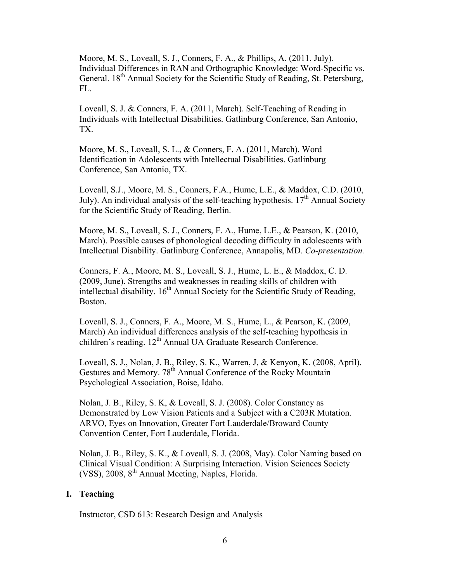Moore, M. S., Loveall, S. J., Conners, F. A., & Phillips, A. (2011, July). Individual Differences in RAN and Orthographic Knowledge: Word-Specific vs. General. 18<sup>th</sup> Annual Society for the Scientific Study of Reading, St. Petersburg, FL.

Loveall, S. J. & Conners, F. A. (2011, March). Self-Teaching of Reading in Individuals with Intellectual Disabilities. Gatlinburg Conference, San Antonio, TX.

Moore, M. S., Loveall, S. L., & Conners, F. A. (2011, March). Word Identification in Adolescents with Intellectual Disabilities. Gatlinburg Conference, San Antonio, TX.

Loveall, S.J., Moore, M. S., Conners, F.A., Hume, L.E., & Maddox, C.D. (2010, July). An individual analysis of the self-teaching hypothesis.  $17<sup>th</sup>$  Annual Society for the Scientific Study of Reading, Berlin.

Moore, M. S., Loveall, S. J., Conners, F. A., Hume, L.E., & Pearson, K. (2010, March). Possible causes of phonological decoding difficulty in adolescents with Intellectual Disability. Gatlinburg Conference, Annapolis, MD. *Co-presentation.*

Conners, F. A., Moore, M. S., Loveall, S. J., Hume, L. E., & Maddox, C. D. (2009, June). Strengths and weaknesses in reading skills of children with intellectual disability.  $16<sup>th</sup>$  Annual Society for the Scientific Study of Reading, Boston.

Loveall, S. J., Conners, F. A., Moore, M. S., Hume, L., & Pearson, K. (2009, March) An individual differences analysis of the self-teaching hypothesis in children's reading. 12<sup>th</sup> Annual UA Graduate Research Conference.

Loveall, S. J., Nolan, J. B., Riley, S. K., Warren, J, & Kenyon, K. (2008, April). Gestures and Memory. 78<sup>th</sup> Annual Conference of the Rocky Mountain Psychological Association, Boise, Idaho.

Nolan, J. B., Riley, S. K, & Loveall, S. J. (2008). Color Constancy as Demonstrated by Low Vision Patients and a Subject with a C203R Mutation. ARVO, Eyes on Innovation, Greater Fort Lauderdale/Broward County Convention Center, Fort Lauderdale, Florida.

Nolan, J. B., Riley, S. K., & Loveall, S. J. (2008, May). Color Naming based on Clinical Visual Condition: A Surprising Interaction. Vision Sciences Society (VSS),  $2008$ ,  $8<sup>th</sup>$  Annual Meeting, Naples, Florida.

### **I. Teaching**

Instructor, CSD 613: Research Design and Analysis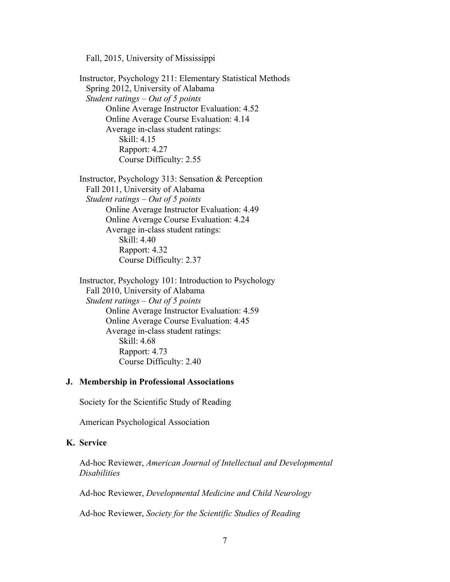Fall, 2015, University of Mississippi

Instructor, Psychology 211: Elementary Statistical Methods Spring 2012, University of Alabama *Student ratings – Out of 5 points* Online Average Instructor Evaluation: 4.52 Online Average Course Evaluation: 4.14 Average in-class student ratings: Skill: 4.15 Rapport: 4.27 Course Difficulty: 2.55

Instructor, Psychology 313: Sensation & Perception Fall 2011, University of Alabama *Student ratings – Out of 5 points* Online Average Instructor Evaluation: 4.49 Online Average Course Evaluation: 4.24 Average in-class student ratings: Skill: 4.40 Rapport: 4.32 Course Difficulty: 2.37

Instructor, Psychology 101: Introduction to Psychology Fall 2010, University of Alabama *Student ratings – Out of 5 points* Online Average Instructor Evaluation: 4.59 Online Average Course Evaluation: 4.45 Average in-class student ratings: Skill:  $4.68$ Rapport: 4.73 Course Difficulty: 2.40

#### **J. Membership in Professional Associations**

Society for the Scientific Study of Reading

American Psychological Association

## **K. Service**

Ad-hoc Reviewer, *American Journal of Intellectual and Developmental Disabilities*

Ad-hoc Reviewer, *Developmental Medicine and Child Neurology*

Ad-hoc Reviewer, *Society for the Scientific Studies of Reading*